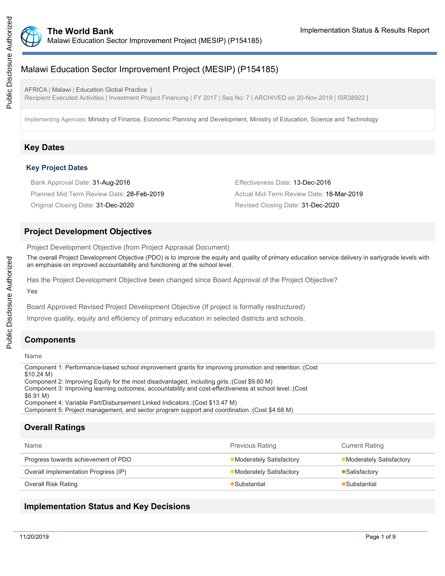

# Malawi Education Sector Improvement Project (MESIP) (P154185)

AFRICA | Malawi | Education Global Practice | Recipient Executed Activities | Investment Project Financing | FY 2017 | Seq No: 7 | ARCHIVED on 20-Nov-2019 | ISR38922 |

Implementing Agencies: Ministry of Finance, Economic Planning and Development, Ministry of Education, Science and Technology

## **Key Dates**

#### **Key Project Dates**

Bank Approval Date: 31-Aug-2016 **Effectiveness** Date: 13-Dec-2016 Planned Mid Term Review Date: 28-Feb-2019 Actual Mid-Term Review Date: 18-Mar-2019 Original Closing Date: 31-Dec-2020 Revised Closing Date: 31-Dec-2020

### **Project Development Objectives**

Project Development Objective (from Project Appraisal Document)

The overall Project Development Objective (PDO) is to improve the equity and quality of primary education service delivery in earlygrade levels with an emphasis on improved accountability and functioning at the school level.

Has the Project Development Objective been changed since Board Approval of the Project Objective? Yes

Board Approved Revised Project Development Objective (If project is formally restructured)

Improve quality, equity and efficiency of primary education in selected districts and schools.

## **Components**

Name

Component 1: Performance-based school improvement grants for improving promotion and retention.:(Cost \$10.24 M) Component 2: Improving Equity for the most disadvantaged, including girls.:(Cost \$9.60 M) Component 3: Improving learning outcomes, accountability and cost-effectiveness at school level.:(Cost \$6.91 M) Component 4: Variable Part/Disbursement Linked Indicators.:(Cost \$13.47 M) Component 5: Project management, and sector program support and coordination.:(Cost \$4.68 M)

# **Overall Ratings**

| Name                                 | <b>Previous Rating</b>   | <b>Current Rating</b>   |
|--------------------------------------|--------------------------|-------------------------|
| Progress towards achievement of PDO  | •Moderately Satisfactory | Moderately Satisfactory |
| Overall Implementation Progress (IP) | •Moderately Satisfactory | • Satisfactory          |
| Overall Risk Rating                  | Substantial              | Substantial             |

## **Implementation Status and Key Decisions**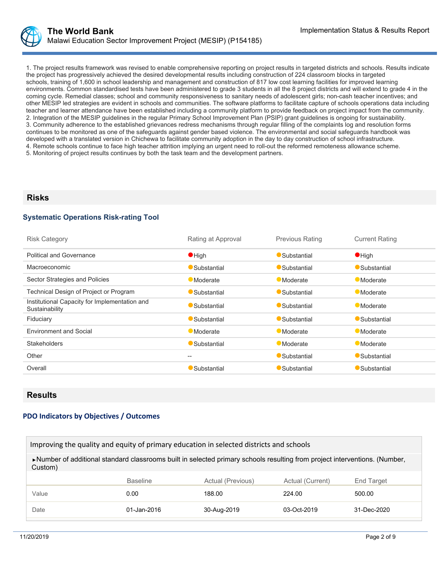1. The project results framework was revised to enable comprehensive reporting on project results in targeted districts and schools. Results indicate the project has progressively achieved the desired developmental results including construction of 224 classroom blocks in targeted schools, training of 1,600 in school leadership and management and construction of 817 low cost learning facilities for improved learning environments. Common standardised tests have been administered to grade 3 students in all the 8 project districts and will extend to grade 4 in the coming cycle. Remedial classes; school and community responsiveness to sanitary needs of adolescent girls; non-cash teacher incentives; and other MESIP led strategies are evident in schools and communities. The software platforms to facilitate capture of schools operations data including teacher and learner attendance have been established including a community platform to provide feedback on project impact from the community. 2. Integration of the MESIP guidelines in the regular Primary School Improvement Plan (PSIP) grant guidelines is ongoing for sustainability. 3. Community adherence to the established grievances redress mechanisms through regular filling of the complaints log and resolution forms continues to be monitored as one of the safeguards against gender based violence. The environmental and social safeguards handbook was developed with a translated version in Chichewa to facilitate community adoption in the day to day construction of school infrastructure. 4. Remote schools continue to face high teacher attrition implying an urgent need to roll-out the reformed remoteness allowance scheme. 5. Monitoring of project results continues by both the task team and the development partners.

### **Risks**

#### **Systematic Operations Risk-rating Tool**

| <b>Risk Category</b>                                            | Rating at Approval | <b>Previous Rating</b> | <b>Current Rating</b> |
|-----------------------------------------------------------------|--------------------|------------------------|-----------------------|
| <b>Political and Governance</b>                                 | $\bullet$ High     | Substantial            | $\bullet$ High        |
| Macroeconomic                                                   | Substantial        | Substantial            | Substantial           |
| Sector Strategies and Policies                                  | <b>Moderate</b>    | <b>Moderate</b>        | Moderate              |
| Technical Design of Project or Program                          | Substantial        | Substantial            | <b>Moderate</b>       |
| Institutional Capacity for Implementation and<br>Sustainability | Substantial        | Substantial            | <b>Moderate</b>       |
| Fiduciary                                                       | Substantial        | Substantial            | Substantial           |
| <b>Environment and Social</b>                                   | <b>Moderate</b>    | <b>Moderate</b>        | <b>Moderate</b>       |
| <b>Stakeholders</b>                                             | Substantial        | <b>Moderate</b>        | <b>Moderate</b>       |
| Other                                                           | --                 | Substantial            | Substantial           |
| Overall                                                         | Substantial        | Substantial            | Substantial           |

#### **Results**

#### **PDO Indicators by Objectives / Outcomes**

| Improving the quality and equity of primary education in selected districts and schools                                               |                 |                   |                  |                   |  |  |
|---------------------------------------------------------------------------------------------------------------------------------------|-----------------|-------------------|------------------|-------------------|--|--|
| ▶Number of additional standard classrooms built in selected primary schools resulting from project interventions. (Number,<br>Custom) |                 |                   |                  |                   |  |  |
|                                                                                                                                       | <b>Baseline</b> | Actual (Previous) | Actual (Current) | End Target        |  |  |
| Value                                                                                                                                 | 0.00            | 188.00            | 224.00           | 500.00            |  |  |
| Date                                                                                                                                  | 01-Jan-2016     | 30-Aug-2019       | $03 - Oct-2019$  | $31 - Dec - 2020$ |  |  |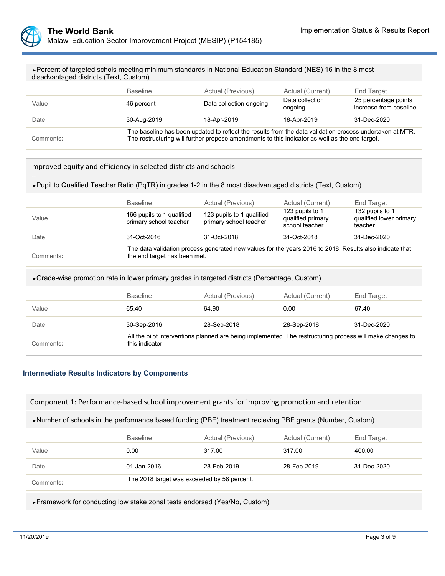

| ► Percent of targeted schols meeting minimum standards in National Education Standard (NES) 16 in the 8 most |  |
|--------------------------------------------------------------------------------------------------------------|--|
| disadvantaged districts (Text, Custom)                                                                       |  |

|           | <b>Baseline</b>                                                                                                                                                                                            | Actual (Previous)       | Actual (Current)           | End Target                                     |  |
|-----------|------------------------------------------------------------------------------------------------------------------------------------------------------------------------------------------------------------|-------------------------|----------------------------|------------------------------------------------|--|
| Value     | 46 percent                                                                                                                                                                                                 | Data collection ongoing | Data collection<br>ongoing | 25 percentage points<br>increase from baseline |  |
| Date      | 30-Aug-2019                                                                                                                                                                                                | 18-Apr-2019             | 18-Apr-2019                | 31-Dec-2020                                    |  |
| Comments: | The baseline has been updated to reflect the results from the data validation process undertaken at MTR.<br>The restructuring will further propose amendments to this indicator as well as the end target. |                         |                            |                                                |  |

| Improved equity and efficiency in selected districts and schools |  |
|------------------------------------------------------------------|--|
|------------------------------------------------------------------|--|

►Pupil to Qualified Teacher Ratio (PqTR) in grades 1-2 in the 8 most disadvantaged districts (Text, Custom)

|                                                                                                | <b>Baseline</b>                                                                                                                         | Actual (Previous)                                                                                         | Actual (Current)                                       | End Target                                            |  |
|------------------------------------------------------------------------------------------------|-----------------------------------------------------------------------------------------------------------------------------------------|-----------------------------------------------------------------------------------------------------------|--------------------------------------------------------|-------------------------------------------------------|--|
| Value                                                                                          | 166 pupils to 1 qualified<br>primary school teacher                                                                                     | 123 pupils to 1 qualified<br>primary school teacher                                                       | 123 pupils to 1<br>qualified primary<br>school teacher | 132 pupils to 1<br>qualified lower primary<br>teacher |  |
| Date                                                                                           | 31-Oct-2016                                                                                                                             | 31-Oct-2018                                                                                               | 31-Oct-2018                                            | 31-Dec-2020                                           |  |
| Comments:                                                                                      | The data validation process generated new values for the years 2016 to 2018. Results also indicate that<br>the end target has been met. |                                                                                                           |                                                        |                                                       |  |
| ► Grade-wise promotion rate in lower primary grades in targeted districts (Percentage, Custom) |                                                                                                                                         |                                                                                                           |                                                        |                                                       |  |
|                                                                                                | <b>Baseline</b>                                                                                                                         | Actual (Previous)                                                                                         | Actual (Current)                                       | End Target                                            |  |
| Value                                                                                          | 65.40                                                                                                                                   | 64.90                                                                                                     | 0.00                                                   | 67.40                                                 |  |
| Date                                                                                           | 30-Sep-2016                                                                                                                             | 28-Sep-2018                                                                                               | 28-Sep-2018                                            | 31-Dec-2020                                           |  |
| Comments:                                                                                      | this indicator.                                                                                                                         | All the pilot interventions planned are being implemented. The restructuring process will make changes to |                                                        |                                                       |  |

## **Intermediate Results Indicators by Components**

| Component 1: Performance-based school improvement grants for improving promotion and retention.                            |                                             |             |             |             |  |  |
|----------------------------------------------------------------------------------------------------------------------------|---------------------------------------------|-------------|-------------|-------------|--|--|
| lacktriangleright Mumber of schools in the performance based funding (PBF) treatment recieving PBF grants (Number, Custom) |                                             |             |             |             |  |  |
| <b>Baseline</b><br>Actual (Previous)<br>Actual (Current)<br>End Target                                                     |                                             |             |             |             |  |  |
| Value                                                                                                                      | 0.00                                        | 317.00      | 317.00      | 400.00      |  |  |
| Date                                                                                                                       | 01-Jan-2016                                 | 28-Feb-2019 | 28-Feb-2019 | 31-Dec-2020 |  |  |
| Comments:                                                                                                                  | The 2018 target was exceeded by 58 percent. |             |             |             |  |  |
| ► Framework for conducting low stake zonal tests endorsed (Yes/No, Custom)                                                 |                                             |             |             |             |  |  |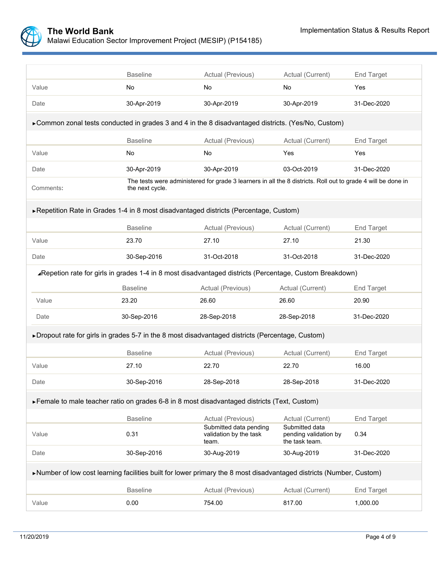

|                                                                                                                     | <b>Baseline</b> | Actual (Previous)                                                                                            | Actual (Current)                                          | End Target        |  |
|---------------------------------------------------------------------------------------------------------------------|-----------------|--------------------------------------------------------------------------------------------------------------|-----------------------------------------------------------|-------------------|--|
| Value                                                                                                               | <b>No</b>       | No                                                                                                           | No                                                        | Yes               |  |
| Date                                                                                                                | 30-Apr-2019     | 30-Apr-2019                                                                                                  | 30-Apr-2019                                               | 31-Dec-2020       |  |
| ► Common zonal tests conducted in grades 3 and 4 in the 8 disadvantaged districts. (Yes/No, Custom)                 |                 |                                                                                                              |                                                           |                   |  |
|                                                                                                                     | <b>Baseline</b> | Actual (Previous)                                                                                            | Actual (Current)                                          | End Target        |  |
| Value                                                                                                               | No              | No                                                                                                           | Yes                                                       | Yes               |  |
| Date                                                                                                                | 30-Apr-2019     | 30-Apr-2019                                                                                                  | 03-Oct-2019                                               | 31-Dec-2020       |  |
| Comments:                                                                                                           | the next cycle. | The tests were administered for grade 3 learners in all the 8 districts. Roll out to grade 4 will be done in |                                                           |                   |  |
| ▶ Repetition Rate in Grades 1-4 in 8 most disadvantaged districts (Percentage, Custom)                              |                 |                                                                                                              |                                                           |                   |  |
|                                                                                                                     | <b>Baseline</b> | Actual (Previous)                                                                                            | Actual (Current)                                          | <b>End Target</b> |  |
| Value                                                                                                               | 23.70           | 27.10                                                                                                        | 27.10                                                     | 21.30             |  |
| Date                                                                                                                | 30-Sep-2016     | 31-Oct-2018                                                                                                  | 31-Oct-2018                                               | 31-Dec-2020       |  |
| ∡Repetion rate for girls in grades 1-4 in 8 most disadvantaged districts (Percentage, Custom Breakdown)             |                 |                                                                                                              |                                                           |                   |  |
|                                                                                                                     | <b>Baseline</b> | Actual (Previous)                                                                                            | Actual (Current)                                          | <b>End Target</b> |  |
| Value                                                                                                               | 23.20           | 26.60                                                                                                        | 26.60                                                     | 20.90             |  |
| Date                                                                                                                | 30-Sep-2016     | 28-Sep-2018                                                                                                  | 28-Sep-2018                                               | 31-Dec-2020       |  |
| ▶ Dropout rate for girls in grades 5-7 in the 8 most disadvantaged districts (Percentage, Custom)                   |                 |                                                                                                              |                                                           |                   |  |
|                                                                                                                     | <b>Baseline</b> | Actual (Previous)                                                                                            | Actual (Current)                                          | <b>End Target</b> |  |
| Value                                                                                                               | 27.10           | 22.70                                                                                                        | 22.70                                                     | 16.00             |  |
| Date                                                                                                                | 30-Sep-2016     | 28-Sep-2018                                                                                                  | 28-Sep-2018                                               | 31-Dec-2020       |  |
| Female to male teacher ratio on grades 6-8 in 8 most disadvantaged districts (Text, Custom)                         |                 |                                                                                                              |                                                           |                   |  |
|                                                                                                                     | <b>Baseline</b> | Actual (Previous)                                                                                            | Actual (Current)                                          | <b>End Target</b> |  |
| Value                                                                                                               | 0.31            | Submitted data pending<br>validation by the task<br>team.                                                    | Submitted data<br>pending validation by<br>the task team. | 0.34              |  |
| Date                                                                                                                | 30-Sep-2016     | 30-Aug-2019                                                                                                  | 30-Aug-2019                                               | 31-Dec-2020       |  |
| ▶Number of low cost learning facilities built for lower primary the 8 most disadvantaged districts (Number, Custom) |                 |                                                                                                              |                                                           |                   |  |
|                                                                                                                     | <b>Baseline</b> | Actual (Previous)                                                                                            | Actual (Current)                                          | <b>End Target</b> |  |
| Value                                                                                                               | 0.00            | 754.00                                                                                                       | 817.00                                                    | 1,000.00          |  |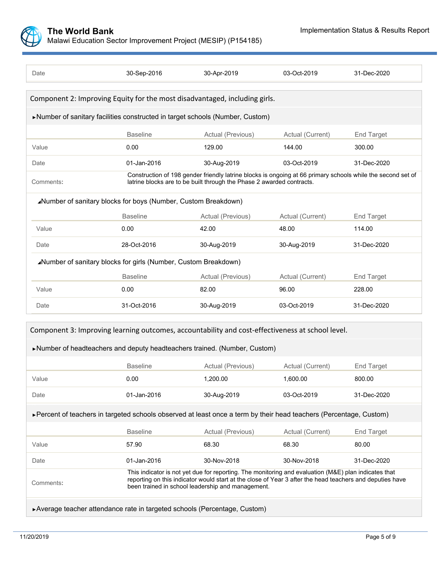

| Date                                                                                             | 30-Sep-2016                                                     | 30-Apr-2019                                                                                                                                                                                                                                                           | 03-Oct-2019      | 31-Dec-2020       |
|--------------------------------------------------------------------------------------------------|-----------------------------------------------------------------|-----------------------------------------------------------------------------------------------------------------------------------------------------------------------------------------------------------------------------------------------------------------------|------------------|-------------------|
|                                                                                                  |                                                                 | Component 2: Improving Equity for the most disadvantaged, including girls.                                                                                                                                                                                            |                  |                   |
|                                                                                                  |                                                                 | ▶Number of sanitary facilities constructed in target schools (Number, Custom)                                                                                                                                                                                         |                  |                   |
|                                                                                                  | <b>Baseline</b>                                                 | Actual (Previous)                                                                                                                                                                                                                                                     | Actual (Current) | <b>End Target</b> |
| Value                                                                                            | 0.00                                                            | 129.00                                                                                                                                                                                                                                                                | 144.00           | 300.00            |
| Date                                                                                             | 01-Jan-2016                                                     | 30-Aug-2019                                                                                                                                                                                                                                                           | 03-Oct-2019      | 31-Dec-2020       |
| Comments:                                                                                        |                                                                 | Construction of 198 gender friendly latrine blocks is ongoing at 66 primary schools while the second set of<br>latrine blocks are to be built through the Phase 2 awarded contracts.                                                                                  |                  |                   |
|                                                                                                  | ⊿Number of sanitary blocks for boys (Number, Custom Breakdown)  |                                                                                                                                                                                                                                                                       |                  |                   |
|                                                                                                  | <b>Baseline</b>                                                 | Actual (Previous)                                                                                                                                                                                                                                                     | Actual (Current) | <b>End Target</b> |
| Value                                                                                            | 0.00                                                            | 42.00                                                                                                                                                                                                                                                                 | 48.00            | 114.00            |
| Date                                                                                             | 28-Oct-2016                                                     | 30-Aug-2019                                                                                                                                                                                                                                                           | 30-Aug-2019      | 31-Dec-2020       |
|                                                                                                  | ⊿Number of sanitary blocks for girls (Number, Custom Breakdown) |                                                                                                                                                                                                                                                                       |                  |                   |
|                                                                                                  | <b>Baseline</b>                                                 | Actual (Previous)                                                                                                                                                                                                                                                     | Actual (Current) | <b>End Target</b> |
| Value                                                                                            | 0.00                                                            | 82.00                                                                                                                                                                                                                                                                 | 96.00            | 228.00            |
| Date                                                                                             | 31-Oct-2016                                                     | 30-Aug-2019                                                                                                                                                                                                                                                           | 03-Oct-2019      | 31-Dec-2020       |
| Component 3: Improving learning outcomes, accountability and cost-effectiveness at school level. |                                                                 |                                                                                                                                                                                                                                                                       |                  |                   |
|                                                                                                  |                                                                 | Number of headteachers and deputy headteachers trained. (Number, Custom)                                                                                                                                                                                              |                  |                   |
|                                                                                                  | <b>Baseline</b>                                                 | Actual (Previous)                                                                                                                                                                                                                                                     | Actual (Current) | <b>End Target</b> |
| Value                                                                                            | 0.00                                                            | 1,200.00                                                                                                                                                                                                                                                              | 1.600.00         | 800.00            |
| Date                                                                                             | 01-Jan-2016                                                     | 30-Aug-2019                                                                                                                                                                                                                                                           | 03-Oct-2019      | 31-Dec-2020       |
|                                                                                                  |                                                                 | ► Percent of teachers in targeted schools observed at least once a term by their head teachers (Percentage, Custom)                                                                                                                                                   |                  |                   |
|                                                                                                  | <b>Baseline</b>                                                 | Actual (Previous)                                                                                                                                                                                                                                                     | Actual (Current) | <b>End Target</b> |
| Value                                                                                            | 57.90                                                           | 68.30                                                                                                                                                                                                                                                                 | 68.30            | 80.00             |
| Date                                                                                             | 01-Jan-2016                                                     | 30-Nov-2018                                                                                                                                                                                                                                                           | 30-Nov-2018      | 31-Dec-2020       |
| Comments:                                                                                        |                                                                 | This indicator is not yet due for reporting. The monitoring and evaluation (M&E) plan indicates that<br>reporting on this indicator would start at the close of Year 3 after the head teachers and deputies have<br>been trained in school leadership and management. |                  |                   |
| ▶ Average teacher attendance rate in targeted schools (Percentage, Custom)                       |                                                                 |                                                                                                                                                                                                                                                                       |                  |                   |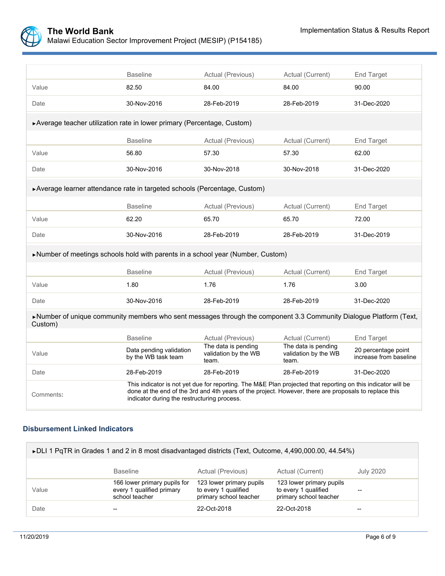

|                                                                                                                               | <b>Baseline</b>                                                                                                                                                                                                                                                      | Actual (Previous)                                    | Actual (Current)                                     | End Target                                    |  |  |
|-------------------------------------------------------------------------------------------------------------------------------|----------------------------------------------------------------------------------------------------------------------------------------------------------------------------------------------------------------------------------------------------------------------|------------------------------------------------------|------------------------------------------------------|-----------------------------------------------|--|--|
| Value                                                                                                                         | 82.50                                                                                                                                                                                                                                                                | 84.00                                                | 84.00                                                | 90.00                                         |  |  |
| Date                                                                                                                          | 30-Nov-2016                                                                                                                                                                                                                                                          | 28-Feb-2019                                          | 28-Feb-2019                                          | 31-Dec-2020                                   |  |  |
| ▶ Average teacher utilization rate in lower primary (Percentage, Custom)                                                      |                                                                                                                                                                                                                                                                      |                                                      |                                                      |                                               |  |  |
|                                                                                                                               | <b>Baseline</b>                                                                                                                                                                                                                                                      | Actual (Previous)                                    | Actual (Current)                                     | End Target                                    |  |  |
| Value                                                                                                                         | 56.80                                                                                                                                                                                                                                                                | 57.30                                                | 57.30                                                | 62.00                                         |  |  |
| Date                                                                                                                          | 30-Nov-2016                                                                                                                                                                                                                                                          | 30-Nov-2018                                          | 30-Nov-2018                                          | 31-Dec-2020                                   |  |  |
| ▶ Average learner attendance rate in targeted schools (Percentage, Custom)                                                    |                                                                                                                                                                                                                                                                      |                                                      |                                                      |                                               |  |  |
|                                                                                                                               | <b>Baseline</b>                                                                                                                                                                                                                                                      | Actual (Previous)                                    | Actual (Current)                                     | <b>End Target</b>                             |  |  |
| Value                                                                                                                         | 62.20                                                                                                                                                                                                                                                                | 65.70                                                | 65.70                                                | 72.00                                         |  |  |
| Date                                                                                                                          | 30-Nov-2016                                                                                                                                                                                                                                                          | 28-Feb-2019                                          | 28-Feb-2019                                          | 31-Dec-2019                                   |  |  |
| Number of meetings schools hold with parents in a school year (Number, Custom)                                                |                                                                                                                                                                                                                                                                      |                                                      |                                                      |                                               |  |  |
|                                                                                                                               | <b>Baseline</b>                                                                                                                                                                                                                                                      | Actual (Previous)                                    | Actual (Current)                                     | End Target                                    |  |  |
| Value                                                                                                                         | 1.80                                                                                                                                                                                                                                                                 | 1.76                                                 | 1.76                                                 | 3.00                                          |  |  |
| Date                                                                                                                          | 30-Nov-2016                                                                                                                                                                                                                                                          | 28-Feb-2019                                          | 28-Feb-2019                                          | 31-Dec-2020                                   |  |  |
| >Number of unique community members who sent messages through the component 3.3 Community Dialogue Platform (Text,<br>Custom) |                                                                                                                                                                                                                                                                      |                                                      |                                                      |                                               |  |  |
|                                                                                                                               | <b>Baseline</b>                                                                                                                                                                                                                                                      | Actual (Previous)                                    | Actual (Current)                                     | <b>End Target</b>                             |  |  |
| Value                                                                                                                         | Data pending validation<br>by the WB task team                                                                                                                                                                                                                       | The data is pending<br>validation by the WB<br>team. | The data is pending<br>validation by the WB<br>team. | 20 percentage point<br>increase from baseline |  |  |
| Date                                                                                                                          | 28-Feb-2019                                                                                                                                                                                                                                                          | 28-Feb-2019                                          | 28-Feb-2019                                          | 31-Dec-2020                                   |  |  |
| Comments:                                                                                                                     | This indicator is not yet due for reporting. The M&E Plan projected that reporting on this indicator will be<br>done at the end of the 3rd and 4th years of the project. However, there are proposals to replace this<br>indicator during the restructuring process. |                                                      |                                                      |                                               |  |  |

### **Disbursement Linked Indicators**

| ► DLI 1 PqTR in Grades 1 and 2 in 8 most disadvantaged districts (Text, Outcome, 4,490,000.00, 44.54%) |                                                                             |                                                                            |                                                                            |           |  |
|--------------------------------------------------------------------------------------------------------|-----------------------------------------------------------------------------|----------------------------------------------------------------------------|----------------------------------------------------------------------------|-----------|--|
|                                                                                                        | <b>Baseline</b>                                                             | Actual (Previous)                                                          | Actual (Current)                                                           | July 2020 |  |
| Value                                                                                                  | 166 lower primary pupils for<br>every 1 qualified primary<br>school teacher | 123 lower primary pupils<br>to every 1 qualified<br>primary school teacher | 123 lower primary pupils<br>to every 1 qualified<br>primary school teacher | --        |  |
| Date                                                                                                   |                                                                             | 22-Oct-2018                                                                | 22-Oct-2018                                                                |           |  |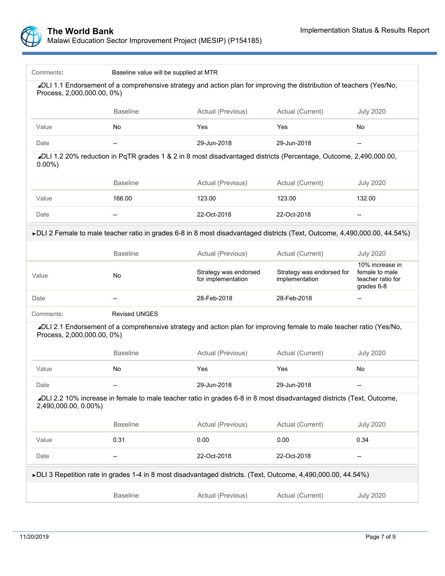

| Comments:                                                                                                                                          | Baseline value will be supplied at MTR                                                                                    |                                                                                            |                  |                                                                      |  |  |  |  |
|----------------------------------------------------------------------------------------------------------------------------------------------------|---------------------------------------------------------------------------------------------------------------------------|--------------------------------------------------------------------------------------------|------------------|----------------------------------------------------------------------|--|--|--|--|
| ⊿DLI 1.1 Endorsement of a comprehensive strategy and action plan for improving the distribution of teachers (Yes/No,<br>Process, 2,000,000.00, 0%) |                                                                                                                           |                                                                                            |                  |                                                                      |  |  |  |  |
|                                                                                                                                                    | <b>Baseline</b>                                                                                                           | Actual (Previous)<br>Actual (Current)                                                      |                  | <b>July 2020</b>                                                     |  |  |  |  |
| Value                                                                                                                                              | No                                                                                                                        | Yes                                                                                        | Yes              | No                                                                   |  |  |  |  |
| Date                                                                                                                                               | 29-Jun-2018<br>29-Jun-2018<br>--<br>$\overline{\phantom{a}}$                                                              |                                                                                            |                  |                                                                      |  |  |  |  |
| ⊿DLI 1.2 20% reduction in PqTR grades 1 & 2 in 8 most disadvantaged districts (Percentage, Outcome, 2,490,000.00,<br>$0.00\%$ )                    |                                                                                                                           |                                                                                            |                  |                                                                      |  |  |  |  |
|                                                                                                                                                    | <b>Baseline</b>                                                                                                           | Actual (Previous)                                                                          | Actual (Current) | <b>July 2020</b>                                                     |  |  |  |  |
| Value                                                                                                                                              | 166.00                                                                                                                    | 123.00                                                                                     | 123.00           | 132.00                                                               |  |  |  |  |
| Date                                                                                                                                               |                                                                                                                           | 22-Oct-2018                                                                                | 22-Oct-2018      |                                                                      |  |  |  |  |
|                                                                                                                                                    | ►DLI 2 Female to male teacher ratio in grades 6-8 in 8 most disadvantaged districts (Text, Outcome, 4,490,000.00, 44.54%) |                                                                                            |                  |                                                                      |  |  |  |  |
|                                                                                                                                                    | <b>Baseline</b>                                                                                                           | Actual (Previous)                                                                          | Actual (Current) | <b>July 2020</b>                                                     |  |  |  |  |
| Value                                                                                                                                              | No                                                                                                                        | Strategy was endorsed<br>Strategy was endorsed for<br>for implementation<br>implementation |                  | 10% increase in<br>female to male<br>teacher ratio for<br>grades 6-8 |  |  |  |  |
| Date                                                                                                                                               | $\overline{\phantom{a}}$                                                                                                  | 28-Feb-2018                                                                                | 28-Feb-2018      |                                                                      |  |  |  |  |
| Comments:                                                                                                                                          | <b>Revised UNGES</b>                                                                                                      |                                                                                            |                  |                                                                      |  |  |  |  |
| ⊿DLI 2.1 Endorsement of a comprehensive strategy and action plan for improving female to male teacher ratio (Yes/No,<br>Process, 2,000,000.00, 0%) |                                                                                                                           |                                                                                            |                  |                                                                      |  |  |  |  |
|                                                                                                                                                    | <b>Baseline</b>                                                                                                           | Actual (Previous)                                                                          | Actual (Current) | <b>July 2020</b>                                                     |  |  |  |  |
| Value                                                                                                                                              | No                                                                                                                        | Yes                                                                                        | Yes              | No                                                                   |  |  |  |  |
| Date                                                                                                                                               |                                                                                                                           | 29-Jun-2018                                                                                | 29-Jun-2018      |                                                                      |  |  |  |  |
| ⊿DLI 2.2 10% increase in female to male teacher ratio in grades 6-8 in 8 most disadvantaged districts (Text, Outcome,<br>2,490,000.00, 0.00%)      |                                                                                                                           |                                                                                            |                  |                                                                      |  |  |  |  |
|                                                                                                                                                    | <b>Baseline</b>                                                                                                           | Actual (Previous)                                                                          | Actual (Current) | <b>July 2020</b>                                                     |  |  |  |  |
| Value                                                                                                                                              | 0.31                                                                                                                      | 0.00                                                                                       | 0.00             | 0.34                                                                 |  |  |  |  |
| Date                                                                                                                                               | --                                                                                                                        | 22-Oct-2018                                                                                | --               |                                                                      |  |  |  |  |
| ► DLI 3 Repetition rate in grades 1-4 in 8 most disadvantaged districts. (Text, Outcome, 4,490,000.00, 44.54%)                                     |                                                                                                                           |                                                                                            |                  |                                                                      |  |  |  |  |
|                                                                                                                                                    | <b>Baseline</b>                                                                                                           | Actual (Previous)                                                                          | Actual (Current) | <b>July 2020</b>                                                     |  |  |  |  |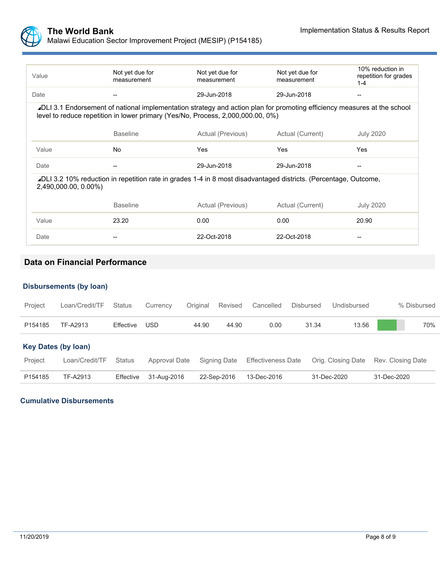

| Value                                                                                                                                                                                                       | Not yet due for<br>measurement | Not yet due for<br>measurement | Not yet due for<br>measurement | 10% reduction in<br>repetition for grades<br>$1 - 4$ |  |  |
|-------------------------------------------------------------------------------------------------------------------------------------------------------------------------------------------------------------|--------------------------------|--------------------------------|--------------------------------|------------------------------------------------------|--|--|
| Date                                                                                                                                                                                                        |                                | 29-Jun-2018                    | 29-Jun-2018                    |                                                      |  |  |
| ⊿DLI 3.1 Endorsement of national implementation strategy and action plan for promoting efficiency measures at the school<br>level to reduce repetition in lower primary (Yes/No, Process, 2,000,000.00, 0%) |                                |                                |                                |                                                      |  |  |
|                                                                                                                                                                                                             | <b>Baseline</b>                | Actual (Previous)              | Actual (Current)               | <b>July 2020</b>                                     |  |  |
| Value                                                                                                                                                                                                       | <b>No</b>                      | Yes                            | Yes                            | Yes                                                  |  |  |
| Date                                                                                                                                                                                                        |                                | 29-Jun-2018                    | 29-Jun-2018                    |                                                      |  |  |
| ∡DLI 3.2 10% reduction in repetition rate in grades 1-4 in 8 most disadvantaged districts. (Percentage, Outcome,<br>2,490,000.00, 0.00%)                                                                    |                                |                                |                                |                                                      |  |  |
|                                                                                                                                                                                                             | <b>Baseline</b>                | Actual (Previous)              | Actual (Current)               | <b>July 2020</b>                                     |  |  |
| Value                                                                                                                                                                                                       | 23.20                          | 0.00                           | 0.00                           | 20.90                                                |  |  |
| Date                                                                                                                                                                                                        |                                | 22-Oct-2018                    | 22-Oct-2018                    |                                                      |  |  |

# **Data on Financial Performance**

#### **Disbursements (by loan)**

| Project                    | Loan/Credit/TF | <b>Status</b> | Currency             | Original | Revised      | Cancelled                 | <b>Disbursed</b> | Undisbursed        |                   | % Disbursed |
|----------------------------|----------------|---------------|----------------------|----------|--------------|---------------------------|------------------|--------------------|-------------------|-------------|
| P154185                    | TF-A2913       | Effective     | <b>USD</b>           | 44.90    | 44.90        | 0.00                      | 31.34            | 13.56              |                   | 70%         |
| <b>Key Dates (by loan)</b> |                |               |                      |          |              |                           |                  |                    |                   |             |
| Project                    | Loan/Credit/TF | Status        | <b>Approval Date</b> |          | Signing Date | <b>Effectiveness Date</b> |                  | Orig. Closing Date | Rev. Closing Date |             |
| P154185                    | TF-A2913       | Effective     | 31-Aug-2016          |          | 22-Sep-2016  | 13-Dec-2016               |                  | 31-Dec-2020        | 31-Dec-2020       |             |

### **Cumulative Disbursements**